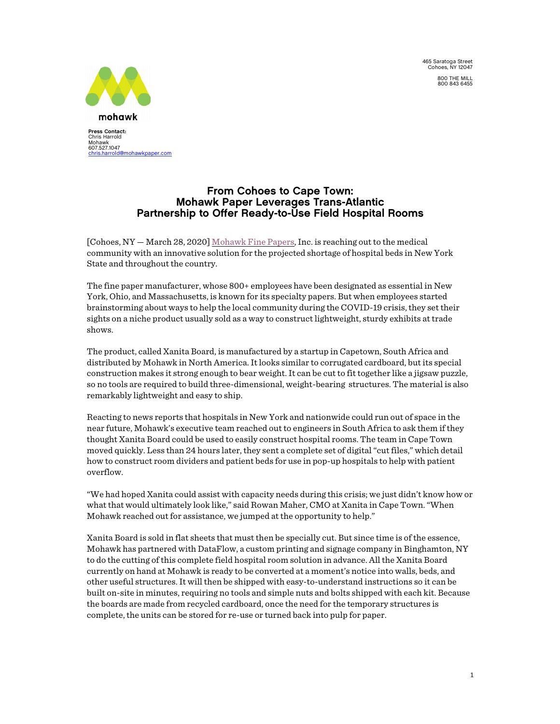V 465 Saratoga Street Cohoes, NY 12047 800 THE MILL 800 843 6455



**Press Contact:**  Chris Harrold Mohawk<br>607.527.1047<br><u>[chris.harrold@mohawkpaper.com](mailto:chris.harrold@mohawkpaper.com)</u>

## From Cohoes to Cape Town: Mohawk Paper Leverages Trans-Atlantic Partnership to Offer Ready-to-Use Field Hospital Rooms

[Cohoes, NY - March 28, 2020] [Mohawk](https://www.mohawkconnects.com/) Fine Papers, Inc. is reaching out to the medical community with an innovative solution for the projected shortage of hospital beds in New York State and throughout the country.

The fine paper manufacturer, whose 800+ employees have been designated as essential in New York, Ohio, and Massachusetts, is known for its specialty papers. But when employees started brainstorming about ways to help the local community during the COVID-19 crisis, they set their sights on a niche product usually sold as a way to construct lightweight, sturdy exhibits at trade shows.

The product, called Xanita Board, is manufactured by a startup in Capetown, South Africa and distributed by Mohawk in North America.It looks similar to corrugated cardboard, but its special construction makes it strong enough to bear weight.It can be cut to fit together like a jigsaw puzzle, so no tools are required to build three-dimensional, weight-bearing structures. The material is also remarkably lightweight and easy to ship.

Reacting to news reports that hospitals in New York and nationwide could run out of space in the near future, Mohawk's executive team reached out to engineers in South Africa to ask them if they thought Xanita Board could be used to easily construct hospital rooms. The team in Cape Town moved quickly. Less than 24 hours later, they sent a complete set of digital"cut files," which detail how to construct room dividers and patient beds for use in pop-up hospitals to help with patient overflow.

"We had hoped Xanita could assist with capacity needs during this crisis; we just didn't know how or what that would ultimately look like," said Rowan Maher, CMO at Xanita in Cape Town."When Mohawk reached out for assistance, we jumped at the opportunity to help."

Xanita Board is sold in flat sheets that must then be specially cut. But since time is of the essence, Mohawk has partnered with DataFlow, a custom printing and signage company in Binghamton, NY to do the cutting of this complete field hospital room solution in advance. All the Xanita Board currently on hand at Mohawk is ready to be converted at a moment's notice into walls, beds, and other useful structures.It will then be shipped with easy-to-understand instructions so it can be built on-site in minutes, requiring no tools and simple nuts and bolts shipped with each kit. Because the boards are made from recycled cardboard, once the need for the temporary structures is complete, the units can be stored for re-use or turned back into pulp for paper.